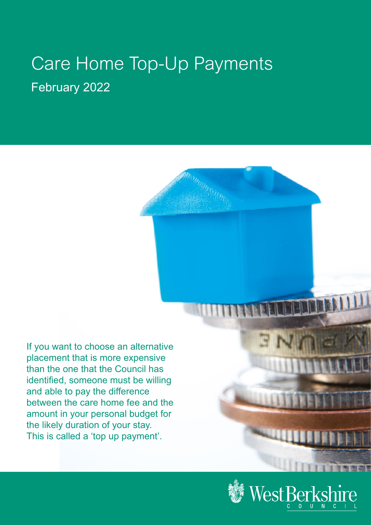# Care Home Top-Up Payments February 2022

If you want to choose an alternative placement that is more expensive than the one that the Council has identified, someone must be willing and able to pay the difference between the care home fee and the amount in your personal budget for the likely duration of your stay. This is called a 'top up payment'.



**I I THREE**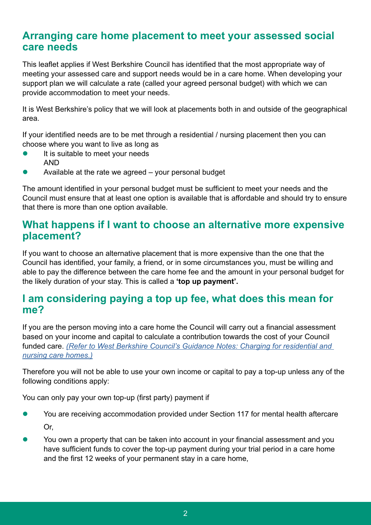#### **Arranging care home placement to meet your assessed social care needs**

This leaflet applies if West Berkshire Council has identified that the most appropriate way of meeting your assessed care and support needs would be in a care home. When developing your support plan we will calculate a rate (called your agreed personal budget) with which we can provide accommodation to meet your needs.

It is West Berkshire's policy that we will look at placements both in and outside of the geographical area.

If your identified needs are to be met through a residential / nursing placement then you can choose where you want to live as long as

- It is suitable to meet your needs AND
- Available at the rate we agreed your personal budget

The amount identified in your personal budget must be sufficient to meet your needs and the Council must ensure that at least one option is available that is affordable and should try to ensure that there is more than one option available.

#### **What happens if I want to choose an alternative more expensive placement?**

If you want to choose an alternative placement that is more expensive than the one that the Council has identified, your family, a friend, or in some circumstances you, must be willing and able to pay the difference between the care home fee and the amount in your personal budget for the likely duration of your stay. This is called a **'top up payment'.** 

#### **I am considering paying a top up fee, what does this mean for me?**

If you are the person moving into a care home the Council will carry out a financial assessment based on your income and capital to calculate a contribution towards the cost of your Council funded care. *[\(Refer to West Berkshire Council's Guidance Notes: Charging for residential and](www.westberks.gov.uk/media/36835/Guidance-Notes-Charging-for-Residential-Care/pdf/Guidance_notes_Residential_home_charging_valid_until_Mar_2022_Ben_version.pdf?m=637601515591730000)  [nursing care homes.\)](www.westberks.gov.uk/media/36835/Guidance-Notes-Charging-for-Residential-Care/pdf/Guidance_notes_Residential_home_charging_valid_until_Mar_2022_Ben_version.pdf?m=637601515591730000)*

Therefore you will not be able to use your own income or capital to pay a top-up unless any of the following conditions apply:

You can only pay your own top-up (first party) payment if

- l You are receiving accommodation provided under Section 117 for mental health aftercare Or,
- You own a property that can be taken into account in your financial assessment and you have sufficient funds to cover the top-up payment during your trial period in a care home and the first 12 weeks of your permanent stay in a care home,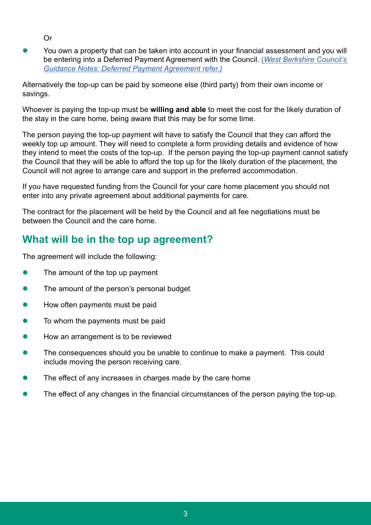Or

l You own a property that can be taken into account in your financial assessment and you will be entering into a Deferred Payment Agreement with the Council. (*[West Berkshire Council's](https://www.westberks.gov.uk/media/36837/Guidance-Notes-Deferred-Payment/pdf/ASC_Guidance_deferred_payments_valid_until_30_Jun_2022.pdf?m=637787950539500000)  [Guidance Notes: Deferred Payment Agreement refer.\)](https://www.westberks.gov.uk/media/36837/Guidance-Notes-Deferred-Payment/pdf/ASC_Guidance_deferred_payments_valid_until_30_Jun_2022.pdf?m=637787950539500000)*

Alternatively the top-up can be paid by someone else (third party) from their own income or savings.

Whoever is paying the top-up must be **willing and able** to meet the cost for the likely duration of the stay in the care home, being aware that this may be for some time.

The person paying the top-up payment will have to satisfy the Council that they can afford the weekly top up amount. They will need to complete a form providing details and evidence of how they intend to meet the costs of the top-up. If the person paying the top-up payment cannot satisfy the Council that they will be able to afford the top up for the likely duration of the placement, the Council will not agree to arrange care and support in the preferred accommodation.

If you have requested funding from the Council for your care home placement you should not enter into any private agreement about additional payments for care.

The contract for the placement will be held by the Council and all fee negotiations must be between the Council and the care home.

### **What will be in the top up agreement?**

The agreement will include the following:

- $\bullet$  The amount of the top up payment
- The amount of the person's personal budget
- How often payments must be paid
- To whom the payments must be paid
- l How an arrangement is to be reviewed
- The consequences should you be unable to continue to make a payment. This could include moving the person receiving care.
- The effect of any increases in charges made by the care home
- The effect of any changes in the financial circumstances of the person paying the top-up.